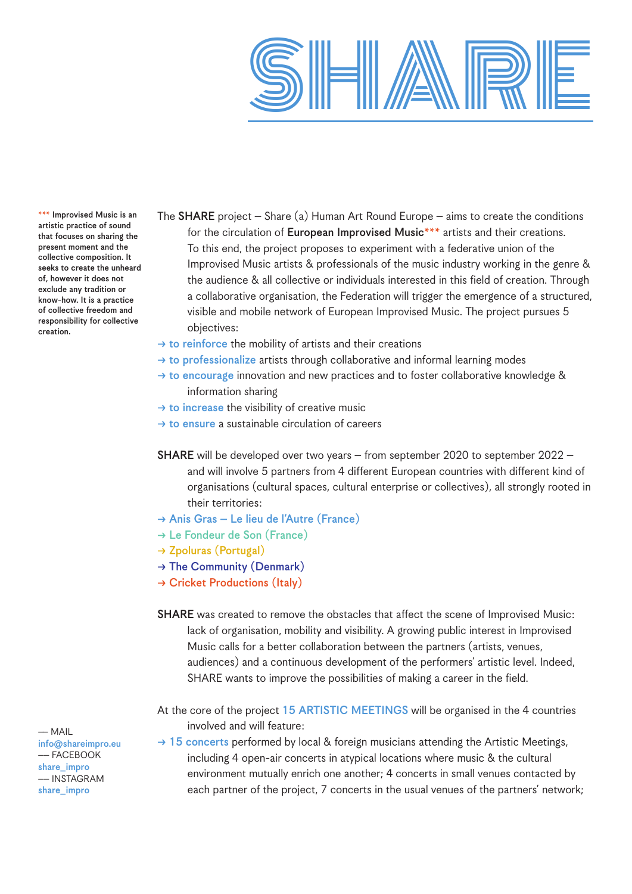

\*\*\* Improvised Music is an artistic practice of sound that focuses on sharing the present moment and the collective composition. It seeks to create the unheard of, however it does not exclude any tradition or know-how. It is a practice of collective freedom and responsibility for collective creation.

- The **SHARE** project Share (a) Human Art Round Europe aims to create the conditions for the circulation of European Improvised Music<sup>\*\*\*</sup> artists and their creations. To this end, the project proposes to experiment with a federative union of the Improvised Music artists & professionals of the music industry working in the genre & the audience & all collective or individuals interested in this field of creation. Through a collaborative organisation, the Federation will trigger the emergence of a structured, visible and mobile network of European Improvised Music. The project pursues 5 objectives:
- $\rightarrow$  to reinforce the mobility of artists and their creations
- $\rightarrow$  to professionalize artists through collaborative and informal learning modes
- $\rightarrow$  to encourage innovation and new practices and to foster collaborative knowledge & information sharing
- $\rightarrow$  to increase the visibility of creative music
- $\rightarrow$  to ensure a sustainable circulation of careers
- SHARE will be developed over two years from september 2020 to september 2022 and will involve 5 partners from 4 different European countries with different kind of organisations (cultural spaces, cultural enterprise or collectives), all strongly rooted in their territories:
- $\rightarrow$  Anis Gras Le lieu de l'Autre (France)
- $\rightarrow$  Le Fondeur de Son (France)
- $\rightarrow$  Zpoluras (Portugal)
- $\rightarrow$  The Community (Denmark)
- $\rightarrow$  Cricket Productions (Italy)
- SHARE was created to remove the obstacles that affect the scene of Improvised Music: lack of organisation, mobility and visibility. A growing public interest in Improvised Music calls for a better collaboration between the partners (artists, venues, audiences) and a continuous development of the performers' artistic level. Indeed, SHARE wants to improve the possibilities of making a career in the field.

At the core of the project 15 ARTISTIC MEETINGS will be organised in the 4 countries involved and will feature:

 $\rightarrow$  15 concerts performed by local & foreign musicians attending the Artistic Meetings, including 4 open-air concerts in atypical locations where music & the cultural environment mutually enrich one another; 4 concerts in small venues contacted by each partner of the project, 7 concerts in the usual venues of the partners' network;

–– MAIL info@shareimpro.eu –– FACEBOOK share\_impro –– INSTAGRAM share\_impro